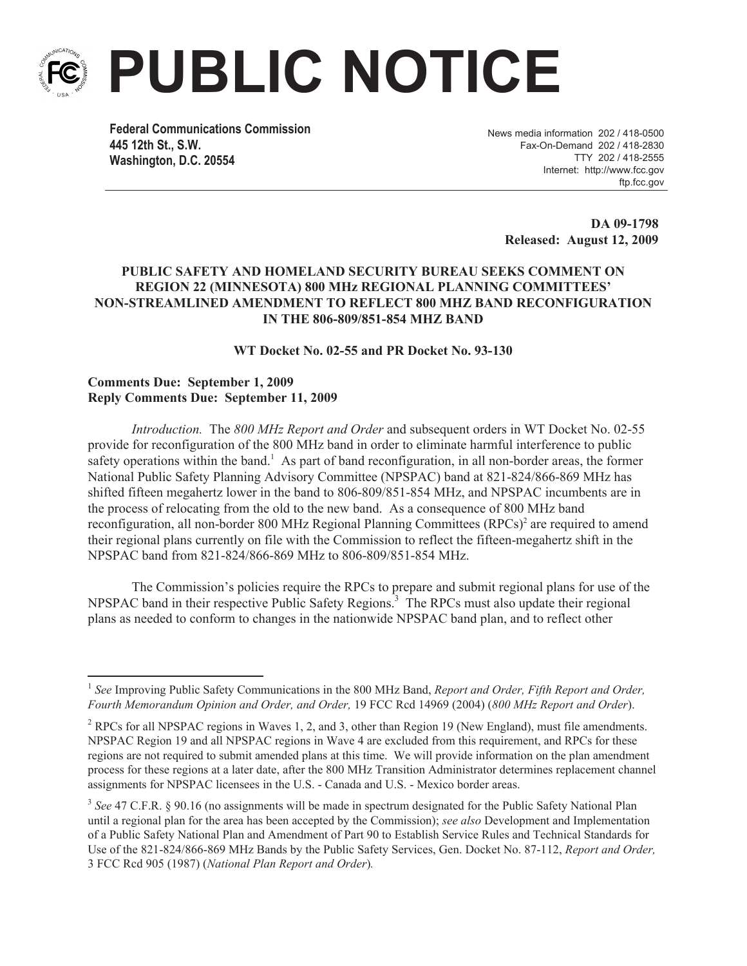

**PUBLIC NOTICE**

**Federal Communications Commission 445 12th St., S.W. Washington, D.C. 20554**

News media information 202 / 418-0500 Fax-On-Demand 202 / 418-2830 TTY 202 / 418-2555 Internet: http://www.fcc.gov ftp.fcc.gov

> **DA 09-1798 Released: August 12, 2009**

## **PUBLIC SAFETY AND HOMELAND SECURITY BUREAU SEEKS COMMENT ON REGION 22 (MINNESOTA) 800 MHz REGIONAL PLANNING COMMITTEES' NON-STREAMLINED AMENDMENT TO REFLECT 800 MHZ BAND RECONFIGURATION IN THE 806-809/851-854 MHZ BAND**

**WT Docket No. 02-55 and PR Docket No. 93-130**

## **Comments Due: September 1, 2009 Reply Comments Due: September 11, 2009**

*Introduction.* The *800 MHz Report and Order* and subsequent orders in WT Docket No. 02-55 provide for reconfiguration of the 800 MHz band in order to eliminate harmful interference to public safety operations within the band.<sup>1</sup> As part of band reconfiguration, in all non-border areas, the former National Public Safety Planning Advisory Committee (NPSPAC) band at 821-824/866-869 MHz has shifted fifteen megahertz lower in the band to 806-809/851-854 MHz, and NPSPAC incumbents are in the process of relocating from the old to the new band. As a consequence of 800 MHz band reconfiguration, all non-border 800 MHz Regional Planning Committees (RPCs)<sup>2</sup> are required to amend their regional plans currently on file with the Commission to reflect the fifteen-megahertz shift in the NPSPAC band from 821-824/866-869 MHz to 806-809/851-854 MHz.

The Commission's policies require the RPCs to prepare and submit regional plans for use of the NPSPAC band in their respective Public Safety Regions.<sup>3</sup> The RPCs must also update their regional plans as needed to conform to changes in the nationwide NPSPAC band plan, and to reflect other

<sup>&</sup>lt;sup>1</sup> See Improving Public Safety Communications in the 800 MHz Band, *Report and Order, Fifth Report and Order*, *Fourth Memorandum Opinion and Order, and Order,* 19 FCC Rcd 14969 (2004) (*800 MHz Report and Order*).

<sup>2</sup> RPCs for all NPSPAC regions in Waves 1, 2, and 3, other than Region 19 (New England), must file amendments. NPSPAC Region 19 and all NPSPAC regions in Wave 4 are excluded from this requirement, and RPCs for these regions are not required to submit amended plans at this time. We will provide information on the plan amendment process for these regions at a later date, after the 800 MHz Transition Administrator determines replacement channel assignments for NPSPAC licensees in the U.S. - Canada and U.S. - Mexico border areas.

<sup>&</sup>lt;sup>3</sup> See 47 C.F.R. § 90.16 (no assignments will be made in spectrum designated for the Public Safety National Plan until a regional plan for the area has been accepted by the Commission); *see also* Development and Implementation of a Public Safety National Plan and Amendment of Part 90 to Establish Service Rules and Technical Standards for Use of the 821-824/866-869 MHz Bands by the Public Safety Services, Gen. Docket No. 87-112, *Report and Order,*  3 FCC Rcd 905 (1987) (*National Plan Report and Order*)*.*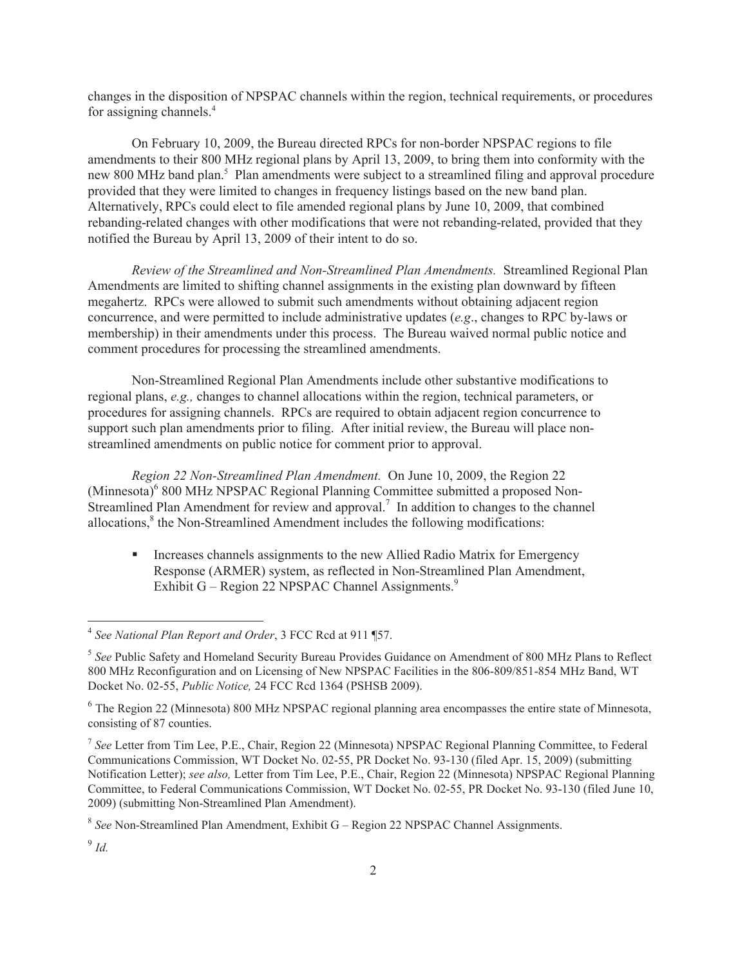changes in the disposition of NPSPAC channels within the region, technical requirements, or procedures for assigning channels.<sup>4</sup>

On February 10, 2009, the Bureau directed RPCs for non-border NPSPAC regions to file amendments to their 800 MHz regional plans by April 13, 2009, to bring them into conformity with the new 800 MHz band plan.<sup>5</sup> Plan amendments were subject to a streamlined filing and approval procedure provided that they were limited to changes in frequency listings based on the new band plan. Alternatively, RPCs could elect to file amended regional plans by June 10, 2009, that combined rebanding-related changes with other modifications that were not rebanding-related, provided that they notified the Bureau by April 13, 2009 of their intent to do so.

*Review of the Streamlined and Non-Streamlined Plan Amendments.* Streamlined Regional Plan Amendments are limited to shifting channel assignments in the existing plan downward by fifteen megahertz. RPCs were allowed to submit such amendments without obtaining adjacent region concurrence, and were permitted to include administrative updates (*e.g*., changes to RPC by-laws or membership) in their amendments under this process. The Bureau waived normal public notice and comment procedures for processing the streamlined amendments.

Non-Streamlined Regional Plan Amendments include other substantive modifications to regional plans, *e.g.,* changes to channel allocations within the region, technical parameters, or procedures for assigning channels. RPCs are required to obtain adjacent region concurrence to support such plan amendments prior to filing. After initial review, the Bureau will place nonstreamlined amendments on public notice for comment prior to approval.

*Region 22 Non-Streamlined Plan Amendment.* On June 10, 2009, the Region 22 (Minnesota)<sup>6</sup> 800 MHz NPSPAC Regional Planning Committee submitted a proposed Non-Streamlined Plan Amendment for review and approval.<sup>7</sup> In addition to changes to the channel allocations,<sup>8</sup> the Non-Streamlined Amendment includes the following modifications:

■ Increases channels assignments to the new Allied Radio Matrix for Emergency Response (ARMER) system, as reflected in Non-Streamlined Plan Amendment, Exhibit G – Region 22 NPSPAC Channel Assignments. $9$ 

<sup>4</sup> *See National Plan Report and Order*, 3 FCC Rcd at 911 ¶57.

<sup>5</sup> *See* Public Safety and Homeland Security Bureau Provides Guidance on Amendment of 800 MHz Plans to Reflect 800 MHz Reconfiguration and on Licensing of New NPSPAC Facilities in the 806-809/851-854 MHz Band, WT Docket No. 02-55, *Public Notice,* 24 FCC Rcd 1364 (PSHSB 2009).

<sup>&</sup>lt;sup>6</sup> The Region 22 (Minnesota) 800 MHz NPSPAC regional planning area encompasses the entire state of Minnesota, consisting of 87 counties.

<sup>7</sup> *See* Letter from Tim Lee, P.E., Chair, Region 22 (Minnesota) NPSPAC Regional Planning Committee, to Federal Communications Commission, WT Docket No. 02-55, PR Docket No. 93-130 (filed Apr. 15, 2009) (submitting Notification Letter); *see also,* Letter from Tim Lee, P.E., Chair, Region 22 (Minnesota) NPSPAC Regional Planning Committee, to Federal Communications Commission, WT Docket No. 02-55, PR Docket No. 93-130 (filed June 10, 2009) (submitting Non-Streamlined Plan Amendment).

<sup>8</sup> *See* Non-Streamlined Plan Amendment, Exhibit G – Region 22 NPSPAC Channel Assignments.

<sup>9</sup> *Id.*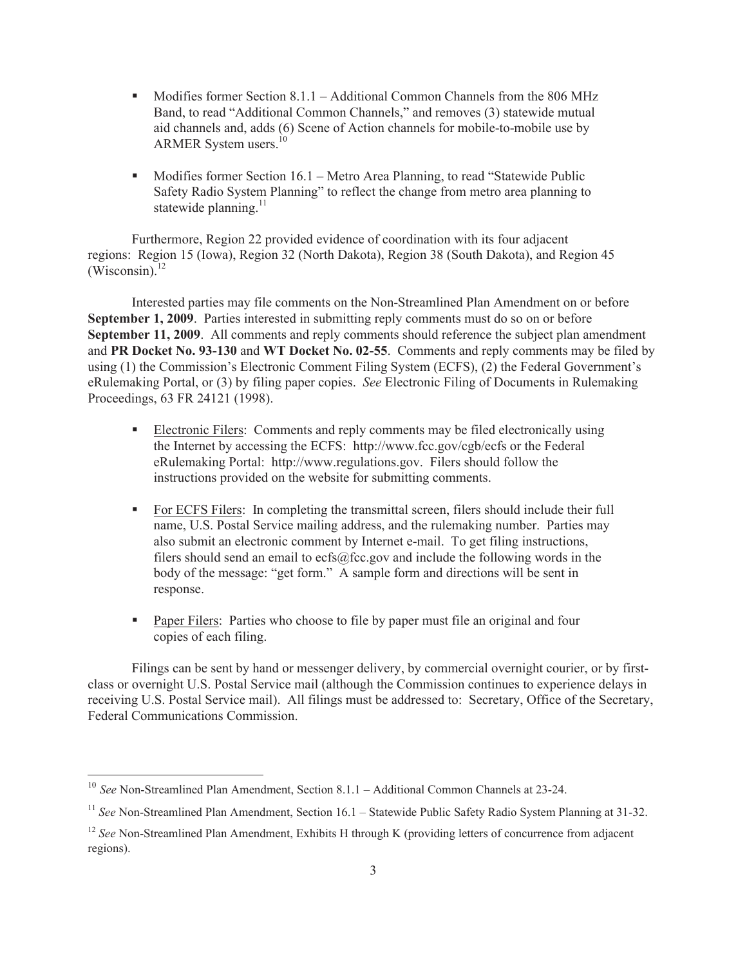- Modifies former Section 8.1.1 Additional Common Channels from the 806 MHz Band, to read "Additional Common Channels," and removes (3) statewide mutual aid channels and, adds (6) Scene of Action channels for mobile-to-mobile use by ARMER System users.<sup>10</sup>
- Modifies former Section 16.1 Metro Area Planning, to read "Statewide Public Safety Radio System Planning" to reflect the change from metro area planning to statewide planning. $^{11}$

Furthermore, Region 22 provided evidence of coordination with its four adjacent regions: Region 15 (Iowa), Region 32 (North Dakota), Region 38 (South Dakota), and Region 45  $(Wiscosin)<sup>12</sup>$ 

Interested parties may file comments on the Non-Streamlined Plan Amendment on or before **September 1, 2009**. Parties interested in submitting reply comments must do so on or before **September 11, 2009**. All comments and reply comments should reference the subject plan amendment and **PR Docket No. 93-130** and **WT Docket No. 02-55**. Comments and reply comments may be filed by using (1) the Commission's Electronic Comment Filing System (ECFS), (2) the Federal Government's eRulemaking Portal, or (3) by filing paper copies. *See* Electronic Filing of Documents in Rulemaking Proceedings, 63 FR 24121 (1998).

- Electronic Filers: Comments and reply comments may be filed electronically using the Internet by accessing the ECFS: http://www.fcc.gov/cgb/ecfs or the Federal eRulemaking Portal: http://www.regulations.gov. Filers should follow the instructions provided on the website for submitting comments.
- For ECFS Filers: In completing the transmittal screen, filers should include their full name, U.S. Postal Service mailing address, and the rulemaking number. Parties may also submit an electronic comment by Internet e-mail. To get filing instructions, filers should send an email to ecfs@fcc.gov and include the following words in the body of the message: "get form." A sample form and directions will be sent in response.
- Paper Filers: Parties who choose to file by paper must file an original and four copies of each filing.

Filings can be sent by hand or messenger delivery, by commercial overnight courier, or by firstclass or overnight U.S. Postal Service mail (although the Commission continues to experience delays in receiving U.S. Postal Service mail). All filings must be addressed to: Secretary, Office of the Secretary, Federal Communications Commission.

<sup>&</sup>lt;sup>10</sup> *See* Non-Streamlined Plan Amendment, Section 8.1.1 – Additional Common Channels at 23-24.

<sup>&</sup>lt;sup>11</sup> See Non-Streamlined Plan Amendment, Section 16.1 – Statewide Public Safety Radio System Planning at 31-32.

<sup>&</sup>lt;sup>12</sup> *See* Non-Streamlined Plan Amendment, Exhibits H through K (providing letters of concurrence from adjacent regions).